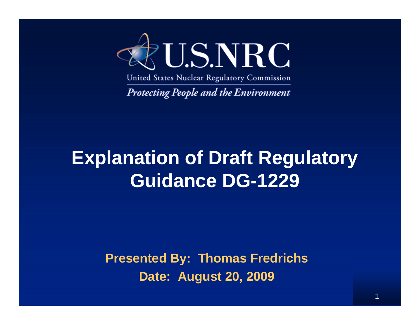

United States Nuclear Regulatory Commission

**Protecting People and the Environment** 

### **Explanation of Draft Regulatory Guidance DG-1229**

**Presented By: Thomas Fredrichs Date: August 20, 2009**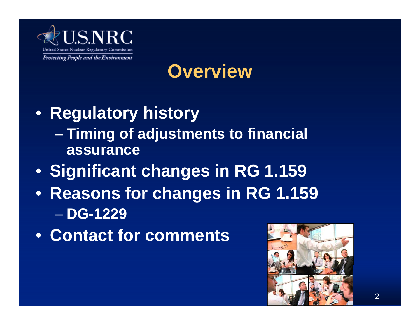

### **Overview**

- **Regulatory history** – **Timing of adjustments to financial assurance**
- **Significant changes in RG 1.159**
- **Reasons for changes in RG 1.159** – **DG-1229**
- **Contact for comments**

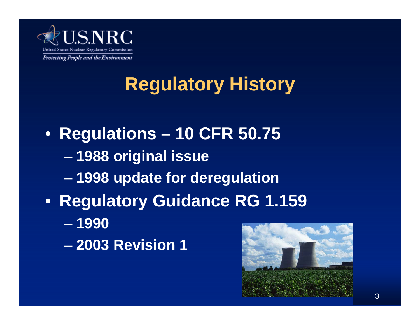

## **Regulatory History**

- **Regulations 10 CFR 50.75** – **1988 original issue** – **1998 update for deregulation** • **Regulatory Guidance RG 1.159** – **1990**
	- **2003 Revision 1**

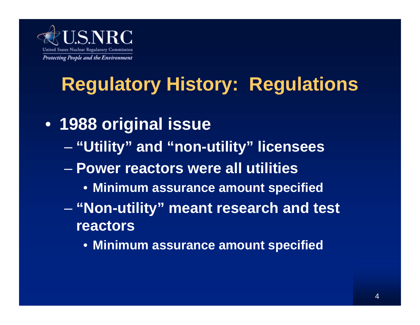

## **Regulatory History: Regulations**

- **1988 original issue** – **"Utility" and "non-utility" licensees**
	- **Power reactors were all utilities**
		- **Minimum assurance amount specified**
	- **"Non-utility" meant research and test reactors**
		- **Minimum assurance amount specified**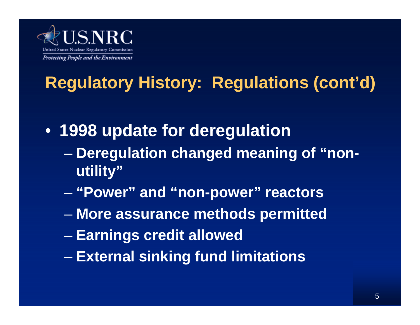

## **Regulatory History: Regulations (cont'd)**

• **1998 update for deregulation**

- **Deregulation changed meaning of "nonutility"**
- **"Power" and "non-power" reactors**
- **More assurance methods permitted**
- **Earnings credit allowed**
- **External sinking fund limitations**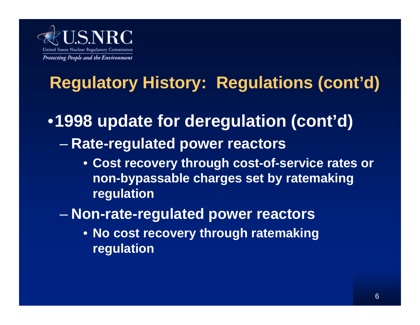

## **Regulatory History: Regulations (cont'd)**

### •**1998 update for deregulation (cont'd)**

- **Rate-regulated power reactors**
	- **Cost recovery through cost-of-service rates or non-bypassable charges set by ratemaking regulation**

#### – **Non-rate-regulated power reactors**

• **No cost recovery through ratemaking regulation**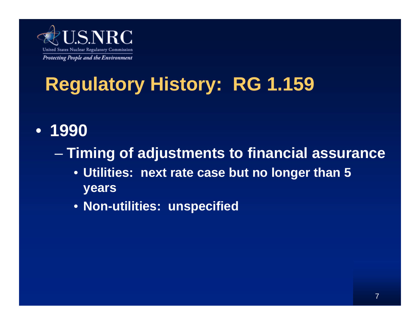

# **Regulatory History: RG 1.159**

- **1990**
	- **Timing of adjustments to financial assurance**
		- **Utilities: next rate case but no longer than 5 years**
		- **Non-utilities: unspecified**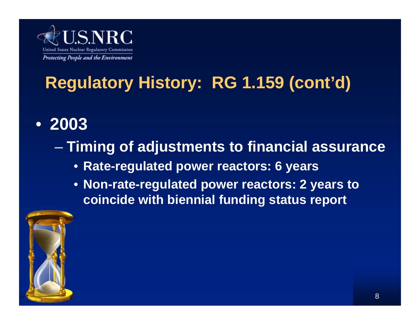

### **Regulatory History: RG 1.159 (cont'd)**

• **2003** 

#### – **Timing of adjustments to financial assurance**

- **Rate-regulated power reactors: 6 years**
- **Non-rate-regulated power reactors: 2 years to coincide with biennial funding status report**

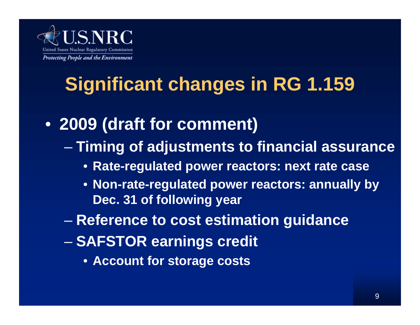

# **Significant changes in RG 1.159**

- **2009 (draft for comment)** – **Timing of adjustments to financial assurance**
	- **Rate-regulated power reactors: next rate case**
	- **Non-rate-regulated power reactors: annually by Dec. 31 of following year**
	- **Reference to cost estimation guidance**
	- **SAFSTOR earnings credit** 
		- **Account for storage costs**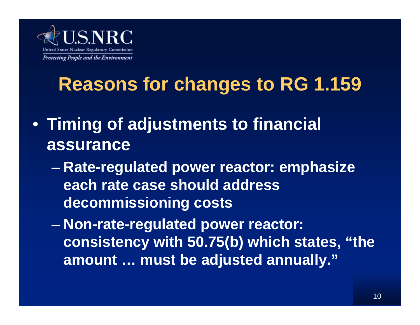

## **Reasons for changes to RG 1.159**

- **Timing of adjustments to financial assurance**
	- **Rate-regulated power reactor: emphasize each rate case should address decommissioning costs**

– **Non-rate-regulated power reactor: consistency with 50.75(b) which states, "the amount … must be adjusted annually."**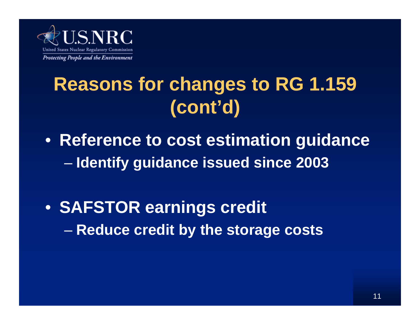

## **Reasons for changes to RG 1.159 (cont'd)**

- **Reference to cost estimation guidance** – **Identify guidance issued since 2003**
- **SAFSTOR earnings credit**  – **Reduce credit by the storage costs**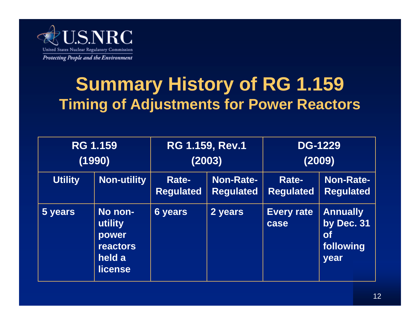

### **Summary History of RG 1.159 Timing of Adjustments for Power Reactors**

| <b>RG 1.159</b><br>(1990) |                                                                            | <b>RG 1.159, Rev.1</b><br>(2003) |                                      | <b>DG-1229</b><br>(2009)         |                                                                 |
|---------------------------|----------------------------------------------------------------------------|----------------------------------|--------------------------------------|----------------------------------|-----------------------------------------------------------------|
| <b>Utility</b>            | Non-utility                                                                | Rate-<br><b>Regulated</b>        | <b>Non-Rate-</b><br><b>Regulated</b> | <b>Rate-</b><br><b>Regulated</b> | <b>Non-Rate-</b><br><b>Regulated</b>                            |
| 5 years                   | No non-<br>utility<br>power<br><b>reactors</b><br>held a<br><b>license</b> | <b>6 years</b>                   | 2 years                              | <b>Every rate</b><br>case        | <b>Annually</b><br>by Dec. 31<br><b>of</b><br>following<br>year |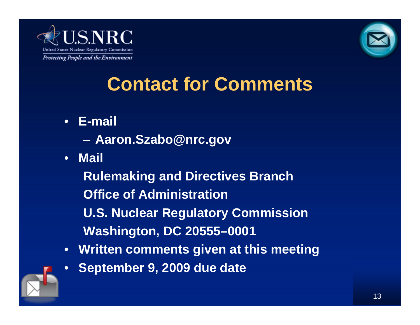



## **Contact for Comments**

- **E-mail**
	- **Aaron.Szabo@nrc.gov**
- **Mail**

**Rulemaking and Directives Branch Office of Administration U.S. Nuclear Regulatory Commission Washington, DC 20555–0001**

- **Written comments given at this meeting**
- **September 9, 2009 due date**